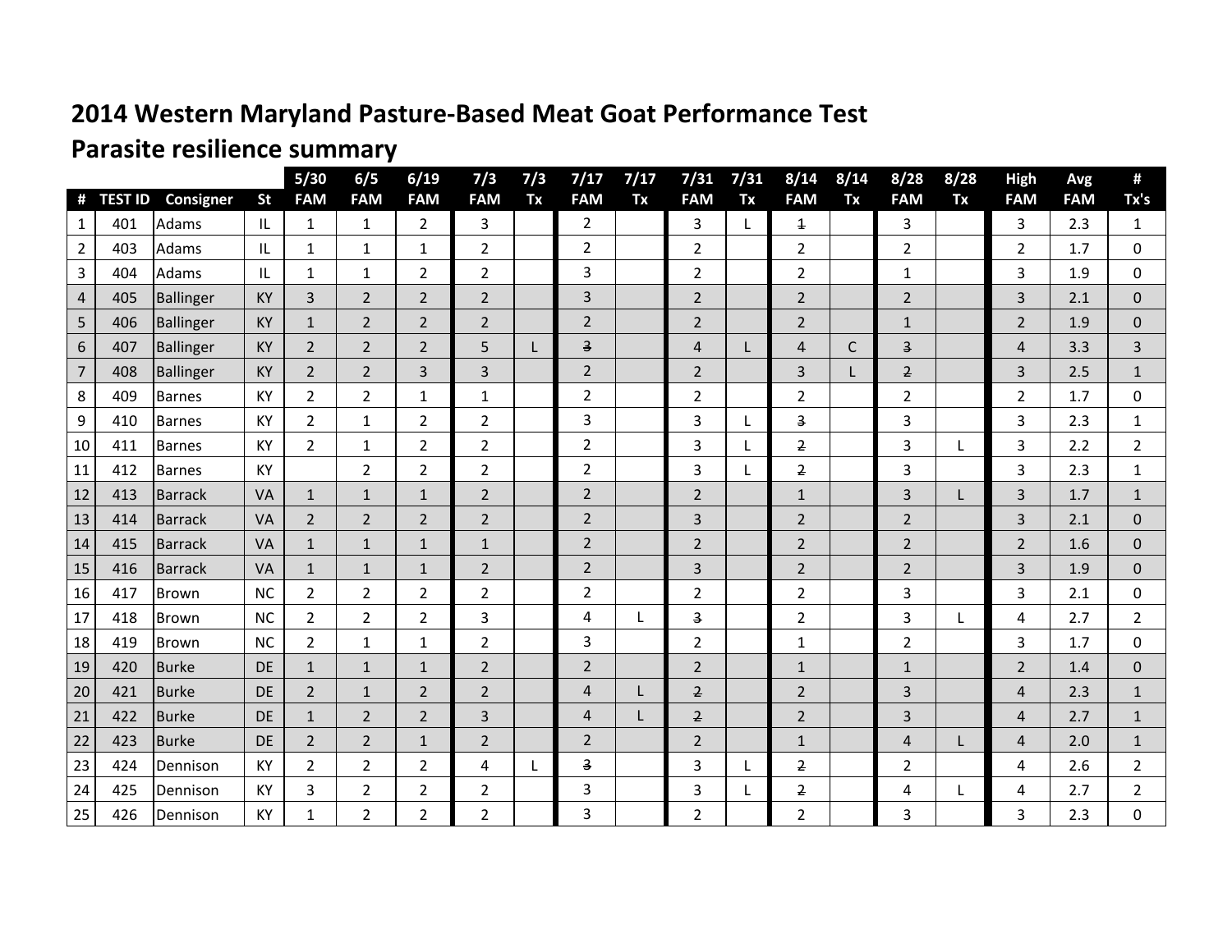## **2014 Western Maryland Pasture-Based Meat Goat Performance Test**

## **Parasite resilience summary**

| #              | <b>TEST ID</b> | Consigner        | <b>St</b> | $5/30$<br><b>FAM</b> | 6/5<br><b>FAM</b> | 6/19<br><b>FAM</b> | 7/3<br><b>FAM</b> | 7/3<br>Tx | 7/17<br><b>FAM</b>      | 7/17<br>Tx | 7/31<br><b>FAM</b> | 7/31<br>Tx | 8/14<br><b>FAM</b>      | 8/14<br>Tx | 8/28<br><b>FAM</b>      | 8/28<br>Tx | <b>High</b><br><b>FAM</b> | Avg<br><b>FAM</b> | #<br>Tx's      |
|----------------|----------------|------------------|-----------|----------------------|-------------------|--------------------|-------------------|-----------|-------------------------|------------|--------------------|------------|-------------------------|------------|-------------------------|------------|---------------------------|-------------------|----------------|
| 1              | 401            | Adams            | IL        | 1                    | 1                 | $\overline{2}$     | 3                 |           | $\overline{2}$          |            | 3                  | L          | $\overline{\mathbf{1}}$ |            | 3                       |            | 3                         | 2.3               | 1              |
| 2              | 403            | Adams            | IL        | 1                    | $\mathbf{1}$      | 1                  | $\overline{2}$    |           | $\overline{2}$          |            | $\overline{2}$     |            | $\overline{2}$          |            | $\overline{2}$          |            | 2                         | 1.7               | $\Omega$       |
| 3              | 404            | Adams            | IL        | $\mathbf{1}$         | $\mathbf{1}$      | $\overline{2}$     | $\overline{2}$    |           | 3                       |            | 2                  |            | 2                       |            | $\mathbf{1}$            |            | 3                         | 1.9               | $\Omega$       |
| 4              | 405            | Ballinger        | KY        | 3                    | $\overline{2}$    | $\overline{2}$     | $\overline{2}$    |           | $\overline{3}$          |            | $\overline{2}$     |            | $\overline{2}$          |            | $\overline{2}$          |            | 3                         | 2.1               | $\overline{0}$ |
| 5              | 406            | Ballinger        | <b>KY</b> | $\mathbf{1}$         | $\overline{2}$    | $\overline{2}$     | $\overline{2}$    |           | $\overline{2}$          |            | $\overline{2}$     |            | $\overline{2}$          |            | $\mathbf{1}$            |            | 2                         | 1.9               | $\Omega$       |
| $6\phantom{.}$ | 407            | <b>Ballinger</b> | <b>KY</b> | $\overline{2}$       | $\overline{2}$    | $\overline{2}$     | 5                 |           | $\overline{\mathbf{3}}$ |            | 4                  | L          | 4                       | C          | $\overline{\mathbf{3}}$ |            | 4                         | 3.3               | 3              |
| $\overline{7}$ | 408            | Ballinger        | <b>KY</b> | $\overline{2}$       | $\overline{2}$    | 3                  | 3                 |           | $\overline{2}$          |            | $\overline{2}$     |            | 3                       |            | $\overline{2}$          |            | 3                         | 2.5               | 1              |
| 8              | 409            | <b>Barnes</b>    | KY        | $\overline{2}$       | $\overline{2}$    | $\mathbf{1}$       | $\mathbf{1}$      |           | $\overline{2}$          |            | $\overline{2}$     |            | $\overline{2}$          |            | $\overline{2}$          |            | $\overline{2}$            | 1.7               | $\Omega$       |
| 9              | 410            | <b>Barnes</b>    | KY        | $\overline{2}$       | $\mathbf{1}$      | $\overline{2}$     | $\overline{2}$    |           | 3                       |            | 3                  | L          | З                       |            | 3                       |            | 3                         | 2.3               | $\mathbf{1}$   |
| 10             | 411            | <b>Barnes</b>    | KY        | $\overline{2}$       | $\mathbf 1$       | $\overline{2}$     | $\overline{2}$    |           | $\overline{2}$          |            | 3                  | L          | $\overline{2}$          |            | 3                       |            | 3                         | 2.2               | $\overline{2}$ |
| 11             | 412            | <b>Barnes</b>    | KY        |                      | $\overline{2}$    | $\overline{2}$     | $\overline{2}$    |           | $\overline{2}$          |            | 3                  | L          | 2                       |            | 3                       |            | 3                         | 2.3               | $\mathbf{1}$   |
| 12             | 413            | <b>Barrack</b>   | <b>VA</b> | $\mathbf{1}$         | $\mathbf{1}$      | $\mathbf{1}$       | $\overline{2}$    |           | $\overline{2}$          |            | $\overline{2}$     |            | $\mathbf{1}$            |            | 3                       |            | 3                         | 1.7               | $\mathbf{1}$   |
| 13             | 414            | <b>Barrack</b>   | VA        | $\overline{2}$       | $\overline{2}$    | $\overline{2}$     | $\overline{2}$    |           | $\overline{2}$          |            | 3                  |            | $\overline{2}$          |            | $\overline{2}$          |            | 3                         | 2.1               | $\overline{0}$ |
| 14             | 415            | <b>Barrack</b>   | VA        | $\mathbf{1}$         | $\mathbf 1$       | $\mathbf{1}$       | $\mathbf{1}$      |           | $\overline{2}$          |            | $\overline{2}$     |            | $\overline{2}$          |            | $\overline{2}$          |            | $\overline{2}$            | 1.6               | $\Omega$       |
| 15             | 416            | <b>Barrack</b>   | VA        | $\mathbf{1}$         | $1\,$             | $\mathbf 1$        | $\overline{2}$    |           | $\overline{2}$          |            | 3                  |            | $\overline{2}$          |            | $\overline{2}$          |            | 3                         | 1.9               | $\mathbf{0}$   |
| 16             | 417            | Brown            | <b>NC</b> | $\overline{2}$       | $\overline{2}$    | $\overline{2}$     | $\overline{2}$    |           | $\overline{2}$          |            | $\overline{2}$     |            | $\overline{2}$          |            | 3                       |            | 3                         | 2.1               | $\Omega$       |
| 17             | 418            | Brown            | <b>NC</b> | $\overline{2}$       | $\overline{2}$    | $\overline{2}$     | 3                 |           | 4                       | L          | 3                  |            | $\overline{2}$          |            | 3                       |            | 4                         | 2.7               | $\overline{2}$ |
| 18             | 419            | <b>Brown</b>     | <b>NC</b> | $\overline{2}$       | $\mathbf{1}$      | $\mathbf{1}$       | $\overline{2}$    |           | 3                       |            | $\overline{2}$     |            | $\mathbf{1}$            |            | $\overline{2}$          |            | 3                         | 1.7               | $\mathbf 0$    |
| 19             | 420            | <b>Burke</b>     | <b>DE</b> | $\mathbf{1}$         | $\mathbf{1}$      | $\mathbf{1}$       | $\overline{2}$    |           | $\overline{2}$          |            | $\overline{2}$     |            | $\mathbf{1}$            |            | $\mathbf{1}$            |            | $\overline{2}$            | 1.4               | $\overline{0}$ |
| 20             | 421            | <b>Burke</b>     | <b>DE</b> | $\overline{2}$       | $\mathbf{1}$      | $\overline{2}$     | $\overline{2}$    |           | $\overline{4}$          |            | $\overline{2}$     |            | $\overline{2}$          |            | 3                       |            | 4                         | 2.3               | 1              |
| 21             | 422            | <b>Burke</b>     | DE        | $\mathbf{1}$         | $\overline{2}$    | $\overline{2}$     | 3                 |           | $\overline{4}$          | L          | $\overline{2}$     |            | $\overline{2}$          |            | $\overline{3}$          |            | 4                         | 2.7               | $\mathbf{1}$   |
| 22             | 423            | <b>Burke</b>     | <b>DE</b> | $\overline{2}$       | $\overline{2}$    | $\mathbf 1$        | $\overline{2}$    |           | $\overline{2}$          |            | $\overline{2}$     |            | $\mathbf{1}$            |            | $\overline{4}$          |            | 4                         | 2.0               | $\mathbf{1}$   |
| 23             | 424            | Dennison         | KY        | $\overline{2}$       | $\overline{2}$    | $\overline{2}$     | 4                 | L         | $\overline{\mathbf{3}}$ |            | 3                  | L          | $\overline{2}$          |            | $\overline{2}$          |            | 4                         | 2.6               | $\overline{2}$ |
| 24             | 425            | Dennison         | KY        | 3                    | $\overline{2}$    | $\overline{2}$     | $\overline{2}$    |           | 3                       |            | 3                  | L          | $\overline{2}$          |            | 4                       |            | 4                         | 2.7               | 2              |
| 25             | 426            | Dennison         | KY        | $\mathbf{1}$         | $\overline{2}$    | $\overline{2}$     | $\overline{2}$    |           | 3                       |            | $\overline{2}$     |            | $\overline{2}$          |            | 3                       |            | 3                         | 2.3               | 0              |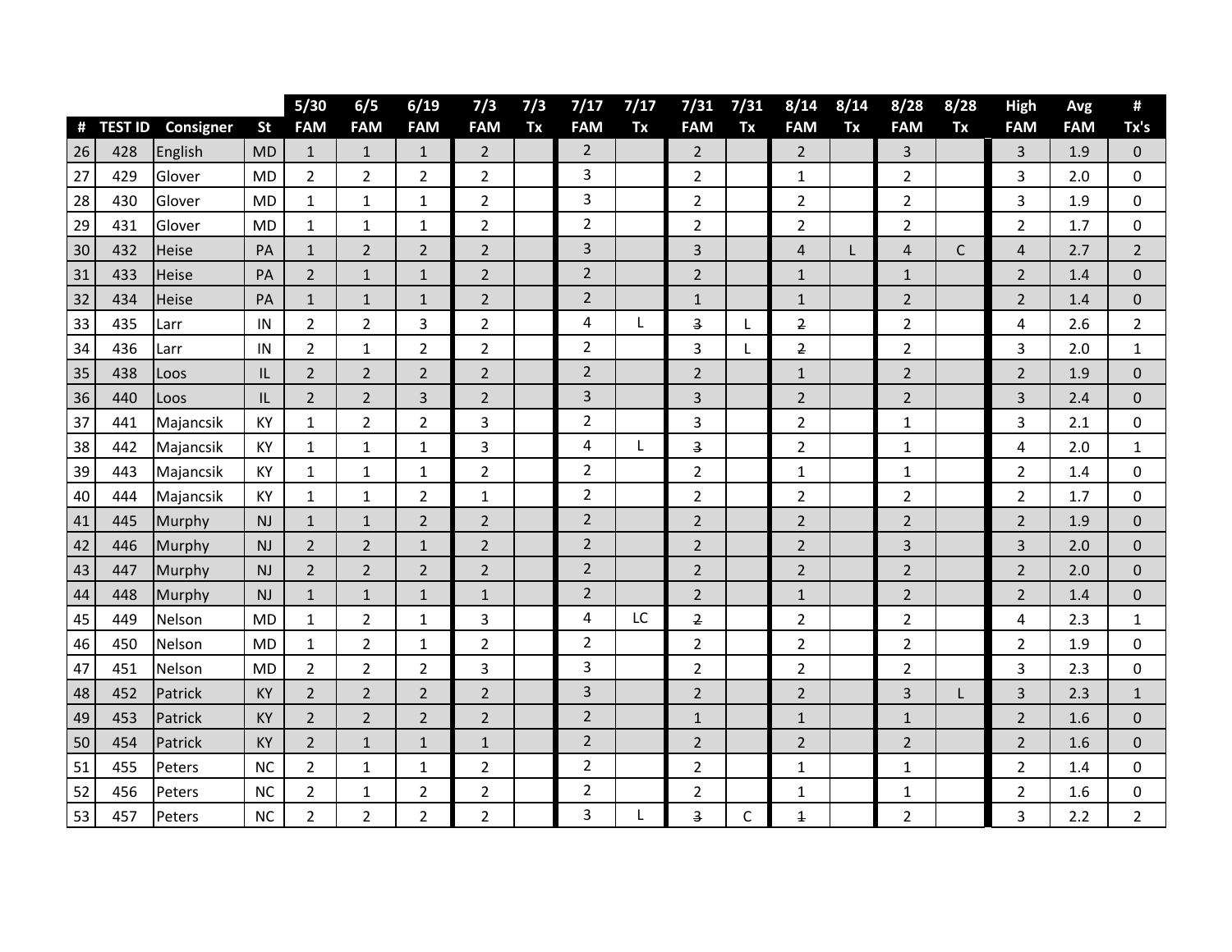|    |                |           |           | $5/30$         | 6/5            | 6/19           | 7/3            | 7/3 | 7/17           | 7/17 | 7/31                    | 7/31 | 8/14                    | 8/14 | 8/28           | 8/28        | High           | Avg        | #                |
|----|----------------|-----------|-----------|----------------|----------------|----------------|----------------|-----|----------------|------|-------------------------|------|-------------------------|------|----------------|-------------|----------------|------------|------------------|
| #  | <b>TEST ID</b> | Consigner | <b>St</b> | <b>FAM</b>     | <b>FAM</b>     | <b>FAM</b>     | <b>FAM</b>     | Tx  | <b>FAM</b>     | Tx   | <b>FAM</b>              | Tx   | <b>FAM</b>              | Tx   | <b>FAM</b>     | Tx          | <b>FAM</b>     | <b>FAM</b> | Tx's             |
| 26 | 428            | English   | <b>MD</b> | $\mathbf{1}$   | $\mathbf{1}$   | $\mathbf{1}$   | $\overline{2}$ |     | $\overline{2}$ |      | $\overline{2}$          |      | $\overline{2}$          |      | 3              |             | 3              | 1.9        | $\mathbf 0$      |
| 27 | 429            | Glover    | <b>MD</b> | $\overline{2}$ | $\overline{2}$ | $\overline{2}$ | $\overline{2}$ |     | 3              |      | $\overline{2}$          |      | $\mathbf{1}$            |      | $\overline{2}$ |             | 3              | 2.0        | 0                |
| 28 | 430            | Glover    | <b>MD</b> | $\mathbf{1}$   | $\mathbf 1$    | $1\,$          | $\overline{2}$ |     | 3              |      | $\overline{2}$          |      | $\overline{2}$          |      | $\overline{2}$ |             | 3              | 1.9        | $\mathbf 0$      |
| 29 | 431            | Glover    | <b>MD</b> | $\mathbf{1}$   | $\mathbf 1$    | $1\,$          | $\overline{2}$ |     | $\overline{2}$ |      | $\overline{2}$          |      | $\overline{2}$          |      | $\overline{2}$ |             | $\overline{2}$ | 1.7        | $\mathbf 0$      |
| 30 | 432            | Heise     | PA        | $\mathbf{1}$   | $\overline{2}$ | $\overline{2}$ | $\overline{2}$ |     | 3              |      | 3                       |      | 4                       | L    | 4              | $\mathsf C$ | $\overline{4}$ | 2.7        | $\overline{2}$   |
| 31 | 433            | Heise     | PA        | $\overline{2}$ | $\mathbf 1$    | $1\,$          | $\overline{2}$ |     | $\overline{2}$ |      | $\overline{2}$          |      | $\mathbf{1}$            |      | $\mathbf{1}$   |             | $\overline{2}$ | 1.4        | $\mathbf 0$      |
| 32 | 434            | Heise     | PA        | $\mathbf{1}$   | $\mathbf 1$    | $\mathbf{1}$   | $\overline{2}$ |     | $\overline{2}$ |      | $\mathbf{1}$            |      | $\mathbf{1}$            |      | $\overline{2}$ |             | $\overline{2}$ | 1.4        | $\mathbf 0$      |
| 33 | 435            | Larr      | IN        | $\overline{2}$ | $\overline{2}$ | 3              | $\overline{2}$ |     | 4              | L    | 3                       | L    | $\overline{2}$          |      | $\overline{2}$ |             | 4              | 2.6        | 2                |
| 34 | 436            | Larr      | IN        | $\overline{2}$ | $\mathbf{1}$   | $\overline{2}$ | $\overline{2}$ |     | $\overline{2}$ |      | 3                       | L    | $\overline{2}$          |      | 2              |             | 3              | 2.0        | $\mathbf{1}$     |
| 35 | 438            | Loos      | IL        | $\overline{2}$ | $\overline{2}$ | $\overline{2}$ | $\overline{2}$ |     | $\overline{2}$ |      | $\overline{2}$          |      | $\mathbf{1}$            |      | $\overline{2}$ |             | $\overline{2}$ | 1.9        | $\mathbf 0$      |
| 36 | 440            | Loos      | IL        | $\overline{2}$ | $\overline{2}$ | 3              | $\overline{2}$ |     | 3              |      | 3                       |      | $\overline{2}$          |      | $\overline{2}$ |             | 3              | 2.4        | $\Omega$         |
| 37 | 441            | Majancsik | KY        | $\mathbf 1$    | $\overline{2}$ | $\overline{2}$ | 3              |     | $\mathbf 2$    |      | 3                       |      | 2                       |      | 1              |             | 3              | 2.1        | 0                |
| 38 | 442            | Majancsik | KY        | 1              | $\mathbf{1}$   | $1\,$          | 3              |     | 4              | L.   | 3                       |      | $\overline{2}$          |      | 1              |             | 4              | 2.0        | 1                |
| 39 | 443            | Majancsik | KY        | $\mathbf 1$    | $\mathbf 1$    | $\mathbf 1$    | $\overline{2}$ |     | $\overline{2}$ |      | $\overline{2}$          |      | $\mathbf{1}$            |      | 1              |             | $\overline{2}$ | 1.4        | 0                |
| 40 | 444            | Majancsik | KY        | $\mathbf{1}$   | $\mathbf{1}$   | $\overline{2}$ | $\mathbf{1}$   |     | $\overline{2}$ |      | $\overline{2}$          |      | 2                       |      | 2              |             | $\overline{2}$ | 1.7        | $\mathbf 0$      |
| 41 | 445            | Murphy    | NJ        | $\mathbf{1}$   | $\mathbf 1$    | $\overline{2}$ | $\overline{2}$ |     | $\overline{2}$ |      | $\overline{2}$          |      | $\overline{2}$          |      | $\overline{2}$ |             | $\overline{2}$ | 1.9        | $\overline{0}$   |
| 42 | 446            | Murphy    | <b>NJ</b> | $\overline{2}$ | $\overline{2}$ | $\mathbf{1}$   | $\overline{2}$ |     | $\overline{2}$ |      | $\overline{2}$          |      | $\overline{2}$          |      | 3              |             | 3              | 2.0        | $\mathbf 0$      |
| 43 | 447            | Murphy    | <b>NJ</b> | $\overline{2}$ | $\sqrt{2}$     | $\overline{2}$ | $\overline{2}$ |     | $\overline{2}$ |      | $\overline{2}$          |      | $\overline{2}$          |      | $\overline{2}$ |             | $\overline{2}$ | 2.0        | $\mathbf 0$      |
| 44 | 448            | Murphy    | NJ        | $\mathbf{1}$   | $\mathbf 1$    | $\mathbf 1$    | $\mathbf 1$    |     | $\overline{2}$ |      | $\overline{2}$          |      | $\mathbf{1}$            |      | $\overline{2}$ |             | 2              | 1.4        | $\boldsymbol{0}$ |
| 45 | 449            | Nelson    | <b>MD</b> | $\mathbf{1}$   | $\overline{2}$ | $\mathbf 1$    | 3              |     | 4              | LC   | 2                       |      | 2                       |      | 2              |             | 4              | 2.3        | 1                |
| 46 | 450            | Nelson    | <b>MD</b> | 1              | $\overline{2}$ | $\mathbf{1}$   | $\overline{2}$ |     | $\overline{2}$ |      | $\overline{2}$          |      | 2                       |      | $\overline{2}$ |             | $\overline{2}$ | 1.9        | $\boldsymbol{0}$ |
| 47 | 451            | Nelson    | <b>MD</b> | $\overline{2}$ | $\overline{2}$ | $\overline{2}$ | 3              |     | 3              |      | $\overline{2}$          |      | 2                       |      | $\overline{2}$ |             | 3              | 2.3        | $\boldsymbol{0}$ |
| 48 | 452            | Patrick   | <b>KY</b> | $\overline{2}$ | $\overline{2}$ | $\overline{2}$ | $\overline{2}$ |     | 3              |      | $\overline{2}$          |      | $\overline{2}$          |      | 3              | L           | 3              | 2.3        | $\mathbf{1}$     |
| 49 | 453            | Patrick   | KY        | $\overline{2}$ | $\overline{2}$ | $\overline{2}$ | $\mathbf 2$    |     | $\overline{2}$ |      | $\mathbf{1}$            |      | $\mathbf{1}$            |      | $\mathbf{1}$   |             | $\overline{2}$ | 1.6        | $\mathbf 0$      |
| 50 | 454            | Patrick   | KY        | $\overline{2}$ | $\mathbf 1$    | $\mathbf 1$    | $\mathbf 1$    |     | $\overline{2}$ |      | $\overline{2}$          |      | $\overline{2}$          |      | $\overline{2}$ |             | $\overline{2}$ | 1.6        | $\mathbf 0$      |
| 51 | 455            | Peters    | <b>NC</b> | $\overline{2}$ | $\mathbf{1}$   | $\mathbf{1}$   | $\overline{2}$ |     | $\overline{2}$ |      | $\overline{2}$          |      | 1                       |      | 1              |             | $\overline{2}$ | 1.4        | 0                |
| 52 | 456            | Peters    | <b>NC</b> | $\overline{2}$ | $\mathbf{1}$   | $\overline{2}$ | $\overline{2}$ |     | $\overline{2}$ |      | 2                       |      | 1                       |      | 1              |             | $\overline{2}$ | 1.6        | 0                |
| 53 | 457            | Peters    | <b>NC</b> | $\overline{2}$ | $\overline{2}$ | $\overline{2}$ | $\overline{2}$ |     | 3              |      | $\overline{\mathbf{3}}$ | С    | $\overline{\mathbf{1}}$ |      | 2              |             | 3              | 2.2        | $\overline{2}$   |